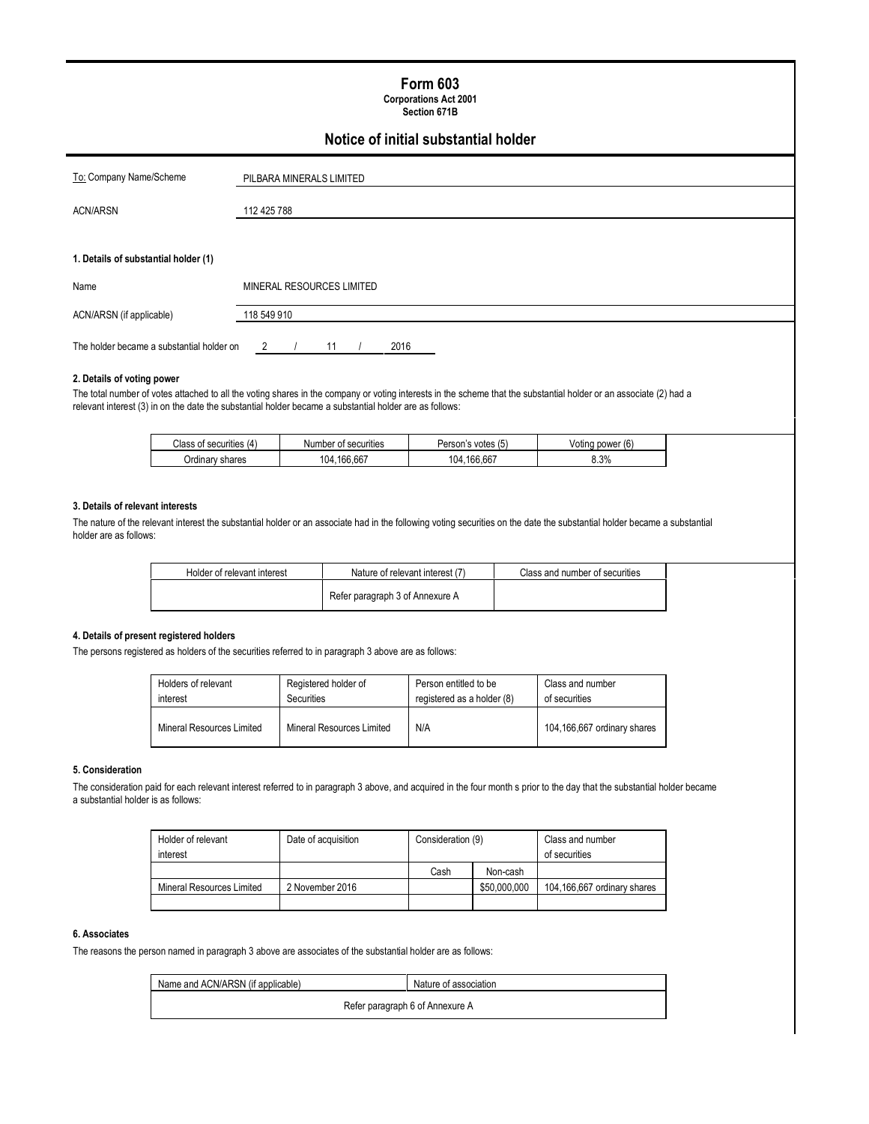# Form 603

Corporations Act 2001 Section 671B

# Notice of initial substantial holder

| To: Company Name/Scheme                   | PILBARA MINERALS LIMITED  |  |  |
|-------------------------------------------|---------------------------|--|--|
| <b>ACN/ARSN</b>                           | 112 425 788               |  |  |
|                                           |                           |  |  |
| 1. Details of substantial holder (1)      |                           |  |  |
| Name                                      | MINERAL RESOURCES LIMITED |  |  |
| ACN/ARSN (if applicable)                  | 118 549 910               |  |  |
| The holder became a substantial holder on | 2016<br>2<br>11           |  |  |

#### 2. Details of voting power

The total number of votes attached to all the voting shares in the company or voting interests in the scheme that the substantial holder or an associate (2) had a relevant interest (3) in on the date the substantial holder became a substantial holder are as follows:

| <b>SANITINAS</b><br>ה הו'<br>- 12<br>ו ספטווווופס<br>. | Number of securities                  | Person<br>votes (5 | $\overline{\phantom{a}}$<br>Votinc<br>power<br>' lb |
|--------------------------------------------------------|---------------------------------------|--------------------|-----------------------------------------------------|
| shares<br>$J$ rdinar $V$                               | $\sim$ $\sim$<br>ໍ່<br>()4<br>100.66. | .166.667<br>104    | 20<br>0.3%                                          |

### 3. Details of relevant interests

The nature of the relevant interest the substantial holder or an associate had in the following voting securities on the date the substantial holder became a substantial holder are as follows:

| Holder of relevant interest | Nature of relevant interest (7) | Class and number of securities |
|-----------------------------|---------------------------------|--------------------------------|
|                             | Refer paragraph 3 of Annexure A |                                |

### 4. Details of present registered holders

The persons registered as holders of the securities referred to in paragraph 3 above are as follows:

| Holders of relevant       | Registered holder of      | Person entitled to be      | Class and number            |
|---------------------------|---------------------------|----------------------------|-----------------------------|
| interest                  | Securities                | registered as a holder (8) | of securities               |
| Mineral Resources Limited | Mineral Resources Limited | N/A                        | 104,166,667 ordinary shares |

#### 5. Consideration

The consideration paid for each relevant interest referred to in paragraph 3 above, and acquired in the four month s prior to the day that the substantial holder became a substantial holder is as follows:

| Holder of relevant        | Date of acquisition | Consideration (9) |              |                             |  | Class and number |
|---------------------------|---------------------|-------------------|--------------|-----------------------------|--|------------------|
| interest                  |                     |                   |              | of securities               |  |                  |
|                           |                     | Cash              | Non-cash     |                             |  |                  |
| Mineral Resources Limited | 2 November 2016     |                   | \$50,000,000 | 104.166.667 ordinary shares |  |                  |
|                           |                     |                   |              |                             |  |                  |

### 6. Associates

The reasons the person named in paragraph 3 above are associates of the substantial holder are as follows:

| Name and ACN/ARSN (if applicable) | Nature of association           |
|-----------------------------------|---------------------------------|
|                                   | Refer paragraph 6 of Annexure A |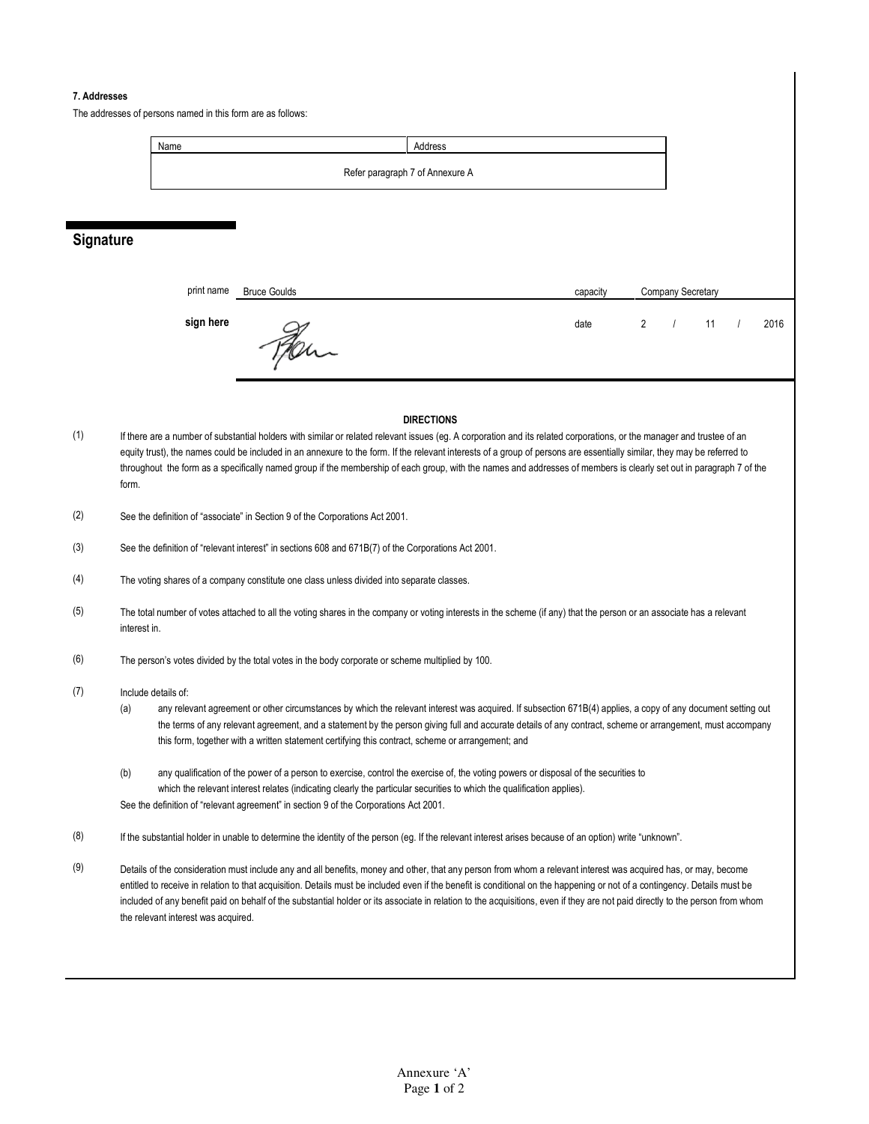#### 7. Addresses

The addresses of persons named in this form are as follows:



## **Signature**

| print name | <b>Bruce Goulds</b> | capacity | <b>Company Secretary</b> |  |      |
|------------|---------------------|----------|--------------------------|--|------|
| sign here  | $\mu$               | date     |                          |  | 2016 |

#### **DIRECTIONS**

- (1) If there are a number of substantial holders with similar or related relevant issues (eg. A corporation and its related corporations, or the manager and trustee of an equity trust), the names could be included in an annexure to the form. If the relevant interests of a group of persons are essentially similar, they may be referred to throughout the form as a specifically named group if the membership of each group, with the names and addresses of members is clearly set out in paragraph 7 of the form.
- (2) See the definition of "associate" in Section 9 of the Corporations Act 2001.
- (3) See the definition of "relevant interest" in sections 608 and 671B(7) of the Corporations Act 2001.
- (4) The voting shares of a company constitute one class unless divided into separate classes.
- (5) The total number of votes attached to all the voting shares in the company or voting interests in the scheme (if any) that the person or an associate has a relevant interest in.
- (6) The person's votes divided by the total votes in the body corporate or scheme multiplied by 100.

#### (7) Include details of:

- (a) any relevant agreement or other circumstances by which the relevant interest was acquired. If subsection 671B(4) applies, a copy of any document setting out the terms of any relevant agreement, and a statement by the person giving full and accurate details of any contract, scheme or arrangement, must accompany this form, together with a written statement certifying this contract, scheme or arrangement; and
- (b) any qualification of the power of a person to exercise, control the exercise of, the voting powers or disposal of the securities to which the relevant interest relates (indicating clearly the particular securities to which the qualification applies). See the definition of "relevant agreement" in section 9 of the Corporations Act 2001.
- (8) If the substantial holder in unable to determine the identity of the person (eg. If the relevant interest arises because of an option) write "unknown".
- (9) Details of the consideration must include any and all benefits, money and other, that any person from whom a relevant interest was acquired has, or may, become entitled to receive in relation to that acquisition. Details must be included even if the benefit is conditional on the happening or not of a contingency. Details must be included of any benefit paid on behalf of the substantial holder or its associate in relation to the acquisitions, even if they are not paid directly to the person from whom the relevant interest was acquired.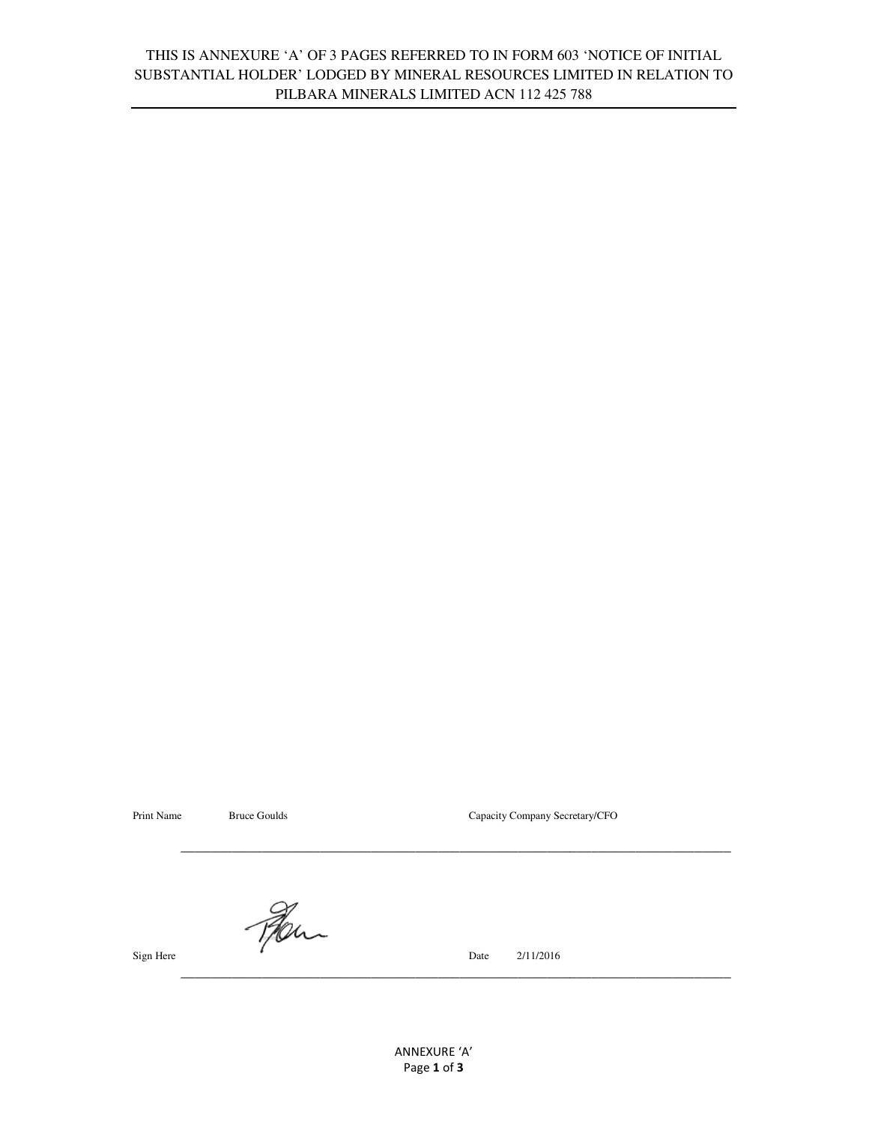# THIS IS ANNEXURE 'A' OF 3 PAGES REFERRED TO IN FORM 603 'NOTICE OF INITIAL SUBSTANTIAL HOLDER' LODGED BY MINERAL RESOURCES LIMITED IN RELATION TO PILBARA MINERALS LIMITED ACN 112 425 788

Print Name Bruce Goulds Bruce Goulds Capacity Company Secretary/CFO

Fer

Sign Here 2/11/2016

 $\mathcal{L}_\text{max} = \frac{1}{2} \sum_{i=1}^{n} \frac{1}{2} \sum_{i=1}^{n} \frac{1}{2} \sum_{i=1}^{n} \frac{1}{2} \sum_{i=1}^{n} \frac{1}{2} \sum_{i=1}^{n} \frac{1}{2} \sum_{i=1}^{n} \frac{1}{2} \sum_{i=1}^{n} \frac{1}{2} \sum_{i=1}^{n} \frac{1}{2} \sum_{i=1}^{n} \frac{1}{2} \sum_{i=1}^{n} \frac{1}{2} \sum_{i=1}^{n} \frac{1}{2} \sum_{i=1}^{n} \frac{1$ 

 $\mathcal{L}_\text{max} = \frac{1}{2} \sum_{i=1}^{n} \frac{1}{2} \sum_{i=1}^{n} \frac{1}{2} \sum_{i=1}^{n} \frac{1}{2} \sum_{i=1}^{n} \frac{1}{2} \sum_{i=1}^{n} \frac{1}{2} \sum_{i=1}^{n} \frac{1}{2} \sum_{i=1}^{n} \frac{1}{2} \sum_{i=1}^{n} \frac{1}{2} \sum_{i=1}^{n} \frac{1}{2} \sum_{i=1}^{n} \frac{1}{2} \sum_{i=1}^{n} \frac{1}{2} \sum_{i=1}^{n} \frac{1$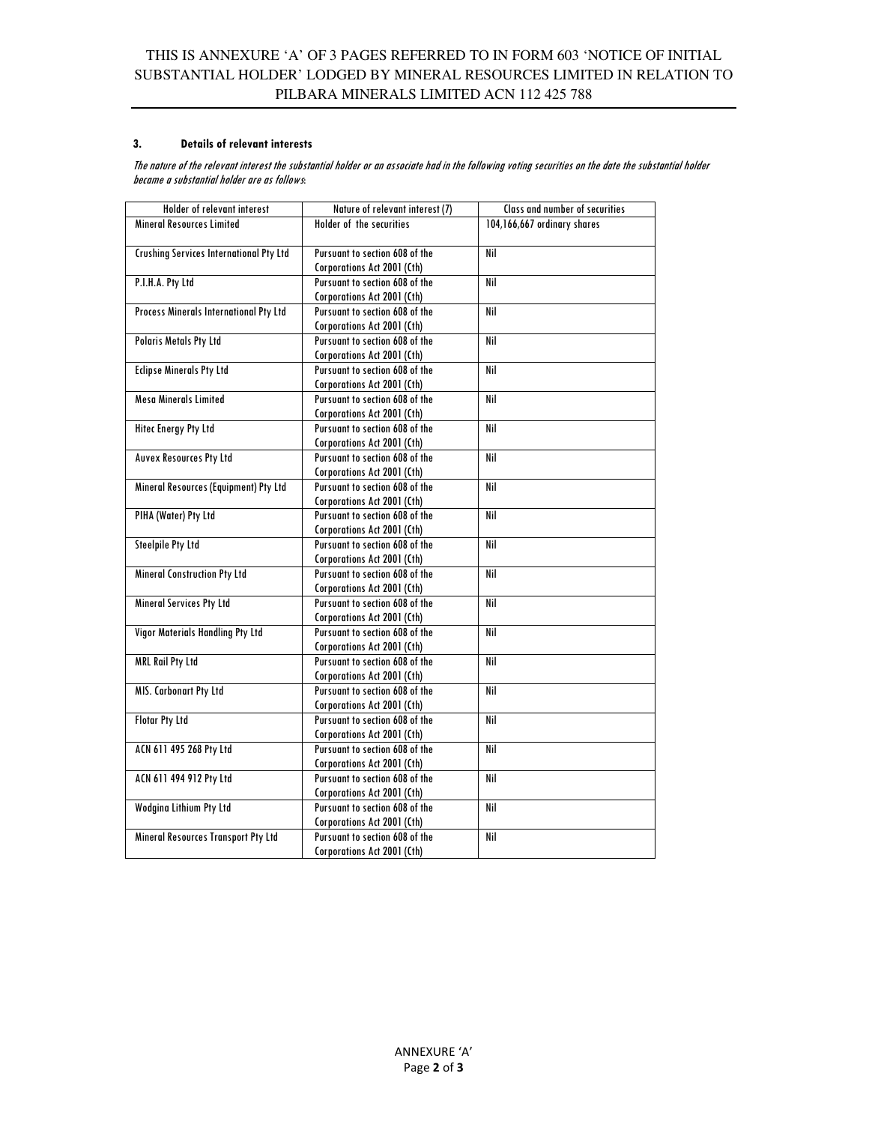### 3. Details of relevant interests

The nature of the relevant interest the substantial holder or an associate had in the following voting securities on the date the substantial holder became a substantial holder are as follows:

| Holder of relevant interest             | Nature of relevant interest (7) | Class and number of securities |
|-----------------------------------------|---------------------------------|--------------------------------|
| <b>Mineral Resources Limited</b>        | Holder of the securities        | 104,166,667 ordinary shares    |
|                                         |                                 |                                |
| Crushing Services International Pty Ltd | Pursuant to section 608 of the  | Nil                            |
|                                         | Corporations Act 2001 (Cth)     |                                |
| P.I.H.A. Pty Ltd                        | Pursuant to section 608 of the  | Nil                            |
|                                         | Corporations Act 2001 (Cth)     |                                |
| Process Minerals International Pty Ltd  | Pursuant to section 608 of the  | Nil                            |
|                                         | Corporations Act 2001 (Cth)     |                                |
| <b>Polaris Metals Pty Ltd</b>           | Pursuant to section 608 of the  | Nil                            |
|                                         | Corporations Act 2001 (Cth)     |                                |
| <b>Eclipse Minerals Pty Ltd</b>         | Pursuant to section 608 of the  | Nil                            |
|                                         | Corporations Act 2001 (Cth)     |                                |
| <b>Mesa Minerals Limited</b>            | Pursuant to section 608 of the  | Nil                            |
|                                         | Corporations Act 2001 (Cth)     |                                |
| <b>Hitec Energy Pty Ltd</b>             | Pursuant to section 608 of the  | Nil                            |
|                                         | Corporations Act 2001 (Cth)     |                                |
| <b>Auvex Resources Pty Ltd</b>          | Pursuant to section 608 of the  | Nil                            |
|                                         | Corporations Act 2001 (Cth)     |                                |
| Mineral Resources (Equipment) Pty Ltd   | Pursuant to section 608 of the  | Nil                            |
|                                         | Corporations Act 2001 (Cth)     |                                |
| PIHA (Water) Pty Ltd                    | Pursuant to section 608 of the  | Nil                            |
|                                         | Corporations Act 2001 (Cth)     |                                |
| <b>Steelpile Pty Ltd</b>                | Pursuant to section 608 of the  | Nil                            |
|                                         | Corporations Act 2001 (Cth)     |                                |
| <b>Mineral Construction Pty Ltd</b>     | Pursuant to section 608 of the  | Nil                            |
|                                         | Corporations Act 2001 (Cth)     |                                |
| <b>Mineral Services Pty Ltd</b>         | Pursuant to section 608 of the  | Nil                            |
|                                         | Corporations Act 2001 (Cth)     |                                |
| <b>Vigor Materials Handling Pty Ltd</b> | Pursuant to section 608 of the  | Nil                            |
|                                         | Corporations Act 2001 (Cth)     |                                |
| <b>MRL Rail Pty Ltd</b>                 | Pursuant to section 608 of the  | Nil                            |
|                                         | Corporations Act 2001 (Cth)     |                                |
| MIS. Carbonart Pty Ltd                  | Pursuant to section 608 of the  | Nil                            |
|                                         | Corporations Act 2001 (Cth)     |                                |
| <b>Flotar Pty Ltd</b>                   | Pursuant to section 608 of the  | Nil                            |
|                                         | Corporations Act 2001 (Cth)     |                                |
| ACN 611 495 268 Pty Ltd                 | Pursuant to section 608 of the  | Nil                            |
|                                         | Corporations Act 2001 (Cth)     |                                |
| ACN 611 494 912 Pty Ltd                 | Pursuant to section 608 of the  | Nil                            |
|                                         | Corporations Act 2001 (Cth)     |                                |
| <b>Wodgina Lithium Pty Ltd</b>          | Pursuant to section 608 of the  | Nil                            |
|                                         | Corporations Act 2001 (Cth)     |                                |
| Mineral Resources Transport Pty Ltd     | Pursuant to section 608 of the  | Nil                            |
|                                         | Corporations Act 2001 (Cth)     |                                |